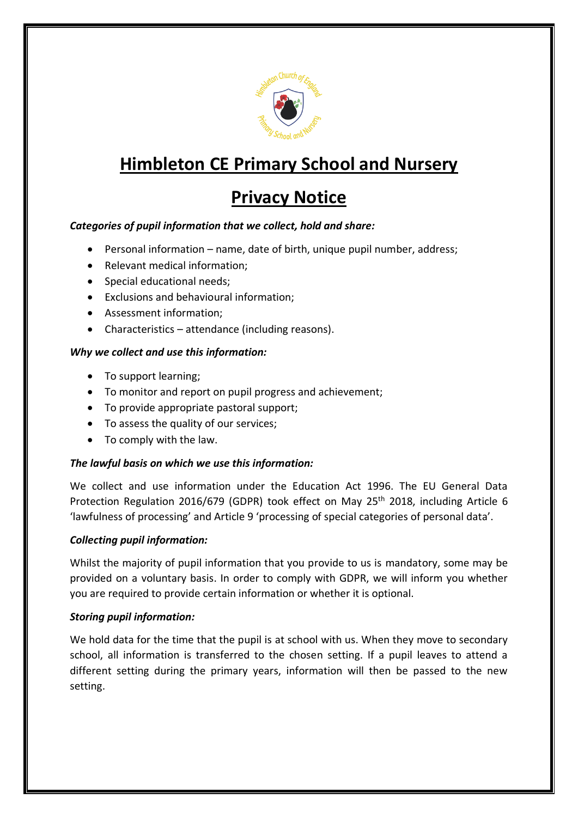

# **Himbleton CE Primary School and Nursery**

## **Privacy Notice**

## *Categories of pupil information that we collect, hold and share:*

- Personal information name, date of birth, unique pupil number, address;
- Relevant medical information;
- Special educational needs;
- Exclusions and behavioural information;
- Assessment information;
- Characteristics attendance (including reasons).

## *Why we collect and use this information:*

- To support learning;
- To monitor and report on pupil progress and achievement;
- To provide appropriate pastoral support;
- To assess the quality of our services;
- To comply with the law.

## *The lawful basis on which we use this information:*

We collect and use information under the Education Act 1996. The EU General Data Protection Regulation 2016/679 (GDPR) took effect on May 25<sup>th</sup> 2018, including Article 6 'lawfulness of processing' and Article 9 'processing of special categories of personal data'.

## *Collecting pupil information:*

Whilst the majority of pupil information that you provide to us is mandatory, some may be provided on a voluntary basis. In order to comply with GDPR, we will inform you whether you are required to provide certain information or whether it is optional.

#### *Storing pupil information:*

We hold data for the time that the pupil is at school with us. When they move to secondary school, all information is transferred to the chosen setting. If a pupil leaves to attend a different setting during the primary years, information will then be passed to the new setting.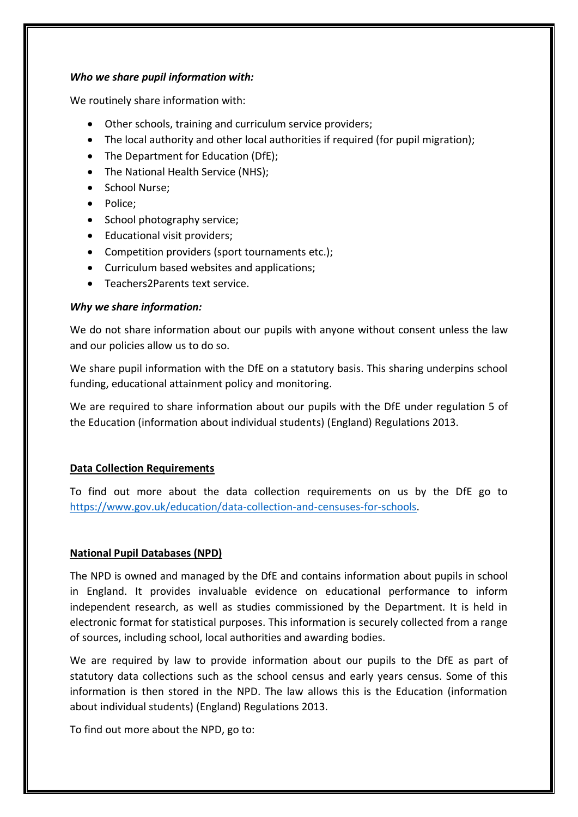#### *Who we share pupil information with:*

We routinely share information with:

- Other schools, training and curriculum service providers;
- The local authority and other local authorities if required (for pupil migration);
- The Department for Education (DfE);
- The National Health Service (NHS):
- School Nurse;
- Police;
- School photography service;
- Educational visit providers;
- Competition providers (sport tournaments etc.);
- Curriculum based websites and applications;
- Teachers2Parents text service.

#### *Why we share information:*

We do not share information about our pupils with anyone without consent unless the law and our policies allow us to do so.

We share pupil information with the DfE on a statutory basis. This sharing underpins school funding, educational attainment policy and monitoring.

We are required to share information about our pupils with the DfE under regulation 5 of the Education (information about individual students) (England) Regulations 2013.

#### **Data Collection Requirements**

To find out more about the data collection requirements on us by the DfE go to [https://www.gov.uk/education/data-collection-and-censuses-for-schools.](https://www.gov.uk/education/data-collection-and-censuses-for-schools)

#### **National Pupil Databases (NPD)**

The NPD is owned and managed by the DfE and contains information about pupils in school in England. It provides invaluable evidence on educational performance to inform independent research, as well as studies commissioned by the Department. It is held in electronic format for statistical purposes. This information is securely collected from a range of sources, including school, local authorities and awarding bodies.

We are required by law to provide information about our pupils to the DfE as part of statutory data collections such as the school census and early years census. Some of this information is then stored in the NPD. The law allows this is the Education (information about individual students) (England) Regulations 2013.

To find out more about the NPD, go to: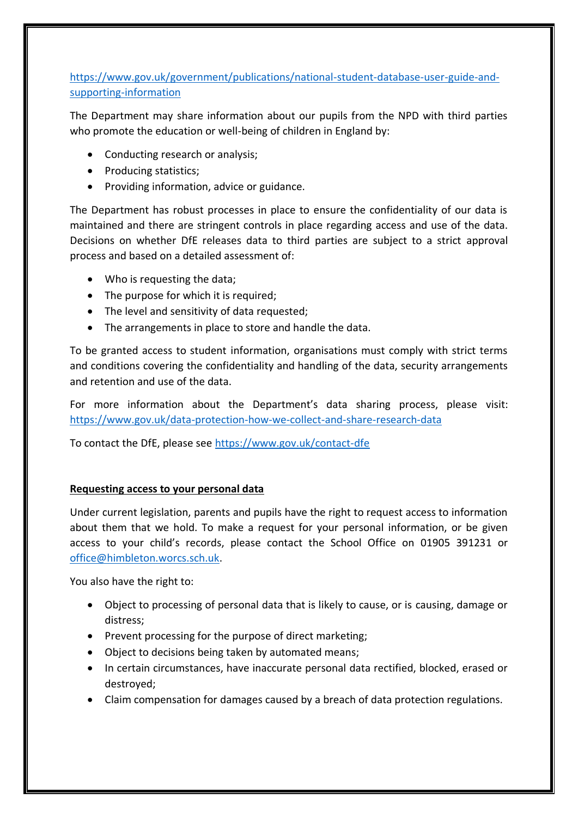## [https://www.gov.uk/government/publications/national-student-database-user-guide-and](https://www.gov.uk/government/publications/national-student-database-user-guide-and-supporting-information)[supporting-information](https://www.gov.uk/government/publications/national-student-database-user-guide-and-supporting-information)

The Department may share information about our pupils from the NPD with third parties who promote the education or well-being of children in England by:

- Conducting research or analysis;
- Producing statistics;
- Providing information, advice or guidance.

The Department has robust processes in place to ensure the confidentiality of our data is maintained and there are stringent controls in place regarding access and use of the data. Decisions on whether DfE releases data to third parties are subject to a strict approval process and based on a detailed assessment of:

- Who is requesting the data;
- The purpose for which it is required;
- The level and sensitivity of data requested;
- The arrangements in place to store and handle the data.

To be granted access to student information, organisations must comply with strict terms and conditions covering the confidentiality and handling of the data, security arrangements and retention and use of the data.

For more information about the Department's data sharing process, please visit: <https://www.gov.uk/data-protection-how-we-collect-and-share-research-data>

To contact the DfE, please see<https://www.gov.uk/contact-dfe>

## **Requesting access to your personal data**

Under current legislation, parents and pupils have the right to request access to information about them that we hold. To make a request for your personal information, or be given access to your child's records, please contact the School Office on 01905 391231 or [office@himbleton.worcs.sch.uk.](mailto:office@himbleton.worcs.sch.uk)

You also have the right to:

- Object to processing of personal data that is likely to cause, or is causing, damage or distress;
- Prevent processing for the purpose of direct marketing;
- Object to decisions being taken by automated means;
- In certain circumstances, have inaccurate personal data rectified, blocked, erased or destroyed;
- Claim compensation for damages caused by a breach of data protection regulations.